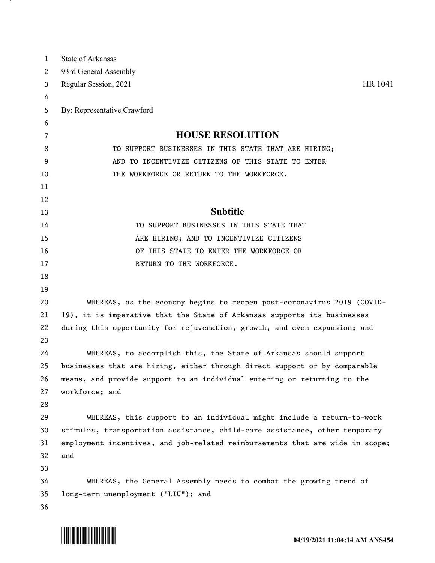| $\mathbf 1$ | State of Arkansas                                                             |
|-------------|-------------------------------------------------------------------------------|
| 2           | 93rd General Assembly                                                         |
| 3           | HR 1041<br>Regular Session, 2021                                              |
| 4           |                                                                               |
| 5           | By: Representative Crawford                                                   |
| 6           |                                                                               |
| 7           | <b>HOUSE RESOLUTION</b>                                                       |
| 8           | TO SUPPORT BUSINESSES IN THIS STATE THAT ARE HIRING;                          |
| 9           | AND TO INCENTIVIZE CITIZENS OF THIS STATE TO ENTER                            |
| 10          | THE WORKFORCE OR RETURN TO THE WORKFORCE.                                     |
| 11          |                                                                               |
| 12          |                                                                               |
| 13          | <b>Subtitle</b>                                                               |
| 14          | TO SUPPORT BUSINESSES IN THIS STATE THAT                                      |
| 15          | ARE HIRING; AND TO INCENTIVIZE CITIZENS                                       |
| 16          | OF THIS STATE TO ENTER THE WORKFORCE OR                                       |
| 17          | RETURN TO THE WORKFORCE.                                                      |
| 18          |                                                                               |
| 19          |                                                                               |
| 20          | WHEREAS, as the economy begins to reopen post-coronavirus 2019 (COVID-        |
| 21          | 19), it is imperative that the State of Arkansas supports its businesses      |
| 22          | during this opportunity for rejuvenation, growth, and even expansion; and     |
| 23          |                                                                               |
| 24          | WHEREAS, to accomplish this, the State of Arkansas should support             |
| 25          | businesses that are hiring, either through direct support or by comparable    |
| 26          | means, and provide support to an individual entering or returning to the      |
| 27          | workforce; and                                                                |
| 28          |                                                                               |
| 29          | WHEREAS, this support to an individual might include a return-to-work         |
| 30          | stimulus, transportation assistance, child-care assistance, other temporary   |
| 31          | employment incentives, and job-related reimbursements that are wide in scope; |
| 32          | and                                                                           |
| 33          |                                                                               |
| 34          | WHEREAS, the General Assembly needs to combat the growing trend of            |
| 35          | long-term unemployment ("LTU"); and                                           |
| 36          |                                                                               |



. н.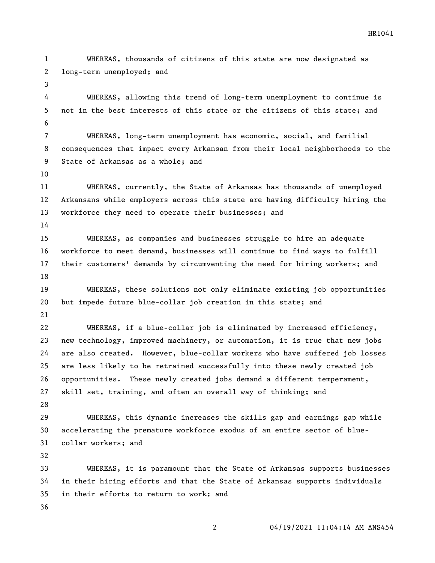WHEREAS, thousands of citizens of this state are now designated as long-term unemployed; and WHEREAS, allowing this trend of long-term unemployment to continue is not in the best interests of this state or the citizens of this state; and WHEREAS, long-term unemployment has economic, social, and familial consequences that impact every Arkansan from their local neighborhoods to the State of Arkansas as a whole; and WHEREAS, currently, the State of Arkansas has thousands of unemployed Arkansans while employers across this state are having difficulty hiring the workforce they need to operate their businesses; and WHEREAS, as companies and businesses struggle to hire an adequate workforce to meet demand, businesses will continue to find ways to fulfill their customers' demands by circumventing the need for hiring workers; and WHEREAS, these solutions not only eliminate existing job opportunities but impede future blue-collar job creation in this state; and WHEREAS, if a blue-collar job is eliminated by increased efficiency, new technology, improved machinery, or automation, it is true that new jobs are also created. However, blue-collar workers who have suffered job losses are less likely to be retrained successfully into these newly created job opportunities. These newly created jobs demand a different temperament, skill set, training, and often an overall way of thinking; and WHEREAS, this dynamic increases the skills gap and earnings gap while accelerating the premature workforce exodus of an entire sector of blue- collar workers; and WHEREAS, it is paramount that the State of Arkansas supports businesses in their hiring efforts and that the State of Arkansas supports individuals in their efforts to return to work; and